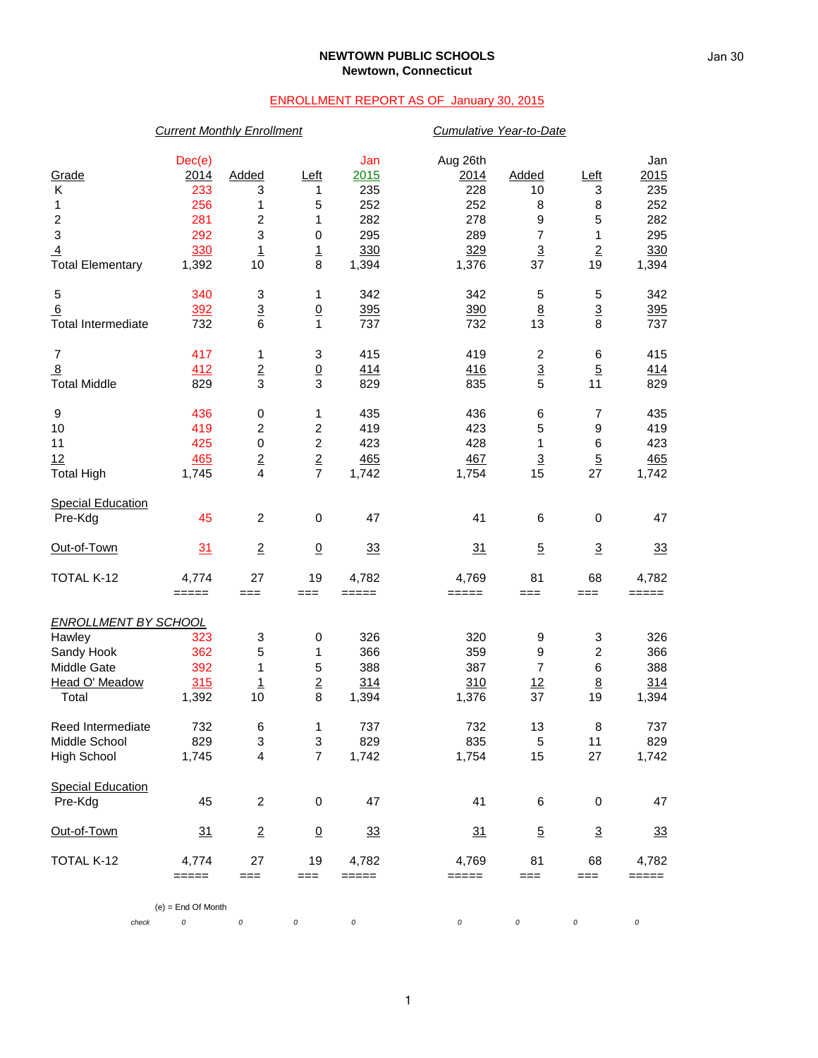#### **NEWTOWN PUBLIC SCHOOLS Newtown, Connecticut**

### ENROLLMENT REPORT AS OF January 30, 2015

# *Current Monthly Enrollment Cumulative Year-to-Date* Dec(e) Jan Aug 26th Jan Grade 2014 Added Left 2015 2014 Added Left 2015 K 233 3 1 235 228 10 3 235 1 256 1 5 252 252 8 8 252 2 281 2 1 282 278 9 5 282 3 292 3 0 295 289 7 1 295 <u>4</u> 330 1 1 330 329 3 2 330 Total Elementary 1,392 10 8 1,394 1,376 37 19 1,394 5 340 3 1 342 342 5 5 342 <u>6 392 3 0 395 390 8 3 395</u> Total Intermediate  $732$  6 1 737 732 13 8 737 7 417 1 3 415 419 2 6 415 8 412 2 0 414 416 3 5 414 Total Middle 829 3 3 829 835 5 11 829 9 436 0 1 435 436 6 7 435 10 419 2 2 419 423 5 9 419 11 425 0 2 423 428 1 6 423 12 465 2 2 465 467 3 5 465 Total High 1,745 4 7 1,742 1,754 15 27 1,742 Special Education<br>Pre-Kdg Pre-Kdg 45 2 0 47 41 6 0 47 Out-of-Town 31 2 0 33 31 5 3 33 TOTAL K-12 4,774 27 19 4,782 4,769 81 68 4,782 ===== === === ===== ===== === === ===== *ENROLLMENT BY SCHOOL* Hawley 323 3 0 326 320 9 3 326 Sandy Hook 362 5 1 366 359 9 2 366 Middle Gate 392 1 5 388 387 7 6 388 1 1 2 314 310 12 8 314<br>
1 Total 1,392 10 8 1,394 1,376 37 19 1,394 Total 1,392 10 8 1,394 1,376 37 19 1,394 Reed Intermediate 732 6 1 737 732 13 8 737 Middle School 829 3 3 829 835 5 11 829 High School 1,745 4 7 1,742 1,754 15 27 1,742 Special Education<br>Pre-Kdg Pre-Kdg 45 2 0 47 41 6 0 47 Out-of-Town 31 2 0 33 31 5 3 33 TOTAL K-12 4,774 27 19 4,782 4,769 81 68 4,782 ===== === === ===== ===== === === ===== (e) = End Of Month

*check 0 0 0 0 0 0 0 0*